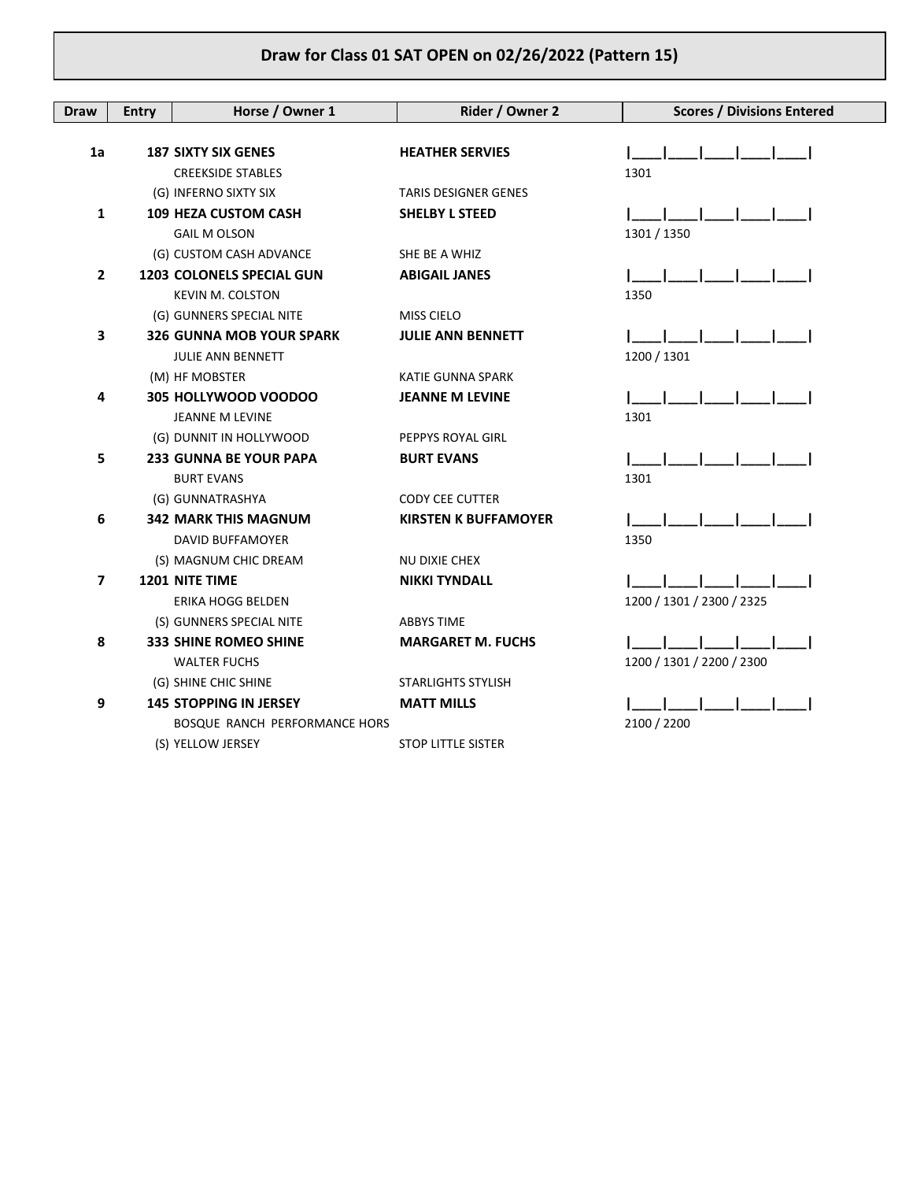| <b>Draw</b>  | <b>Entry</b> | Horse / Owner 1                 | Rider / Owner 2             | <b>Scores / Divisions Entered</b> |
|--------------|--------------|---------------------------------|-----------------------------|-----------------------------------|
|              |              |                                 |                             |                                   |
| 1a           |              | <b>187 SIXTY SIX GENES</b>      | <b>HEATHER SERVIES</b>      |                                   |
|              |              | <b>CREEKSIDE STABLES</b>        |                             | 1301                              |
|              |              | (G) INFERNO SIXTY SIX           | <b>TARIS DESIGNER GENES</b> |                                   |
| $\mathbf{1}$ |              | 109 HEZA CUSTOM CASH            | <b>SHELBY L STEED</b>       |                                   |
|              |              | <b>GAIL M OLSON</b>             |                             | 1301 / 1350                       |
|              |              | (G) CUSTOM CASH ADVANCE         | SHE BE A WHIZ               |                                   |
| $\mathbf{2}$ |              | 1203 COLONELS SPECIAL GUN       | <b>ABIGAIL JANES</b>        |                                   |
|              |              | <b>KEVIN M. COLSTON</b>         |                             | 1350                              |
|              |              | (G) GUNNERS SPECIAL NITE        | <b>MISS CIELO</b>           |                                   |
| 3            |              | <b>326 GUNNA MOB YOUR SPARK</b> | <b>JULIE ANN BENNETT</b>    |                                   |
|              |              | <b>JULIE ANN BENNETT</b>        |                             | 1200 / 1301                       |
|              |              | (M) HF MOBSTER                  | KATIE GUNNA SPARK           |                                   |
| 4            |              | 305 HOLLYWOOD VOODOO            | <b>JEANNE M LEVINE</b>      |                                   |
|              |              | JEANNE M LEVINE                 |                             | 1301                              |
|              |              | (G) DUNNIT IN HOLLYWOOD         | PEPPYS ROYAL GIRL           |                                   |
| 5            |              | <b>233 GUNNA BE YOUR PAPA</b>   | <b>BURT EVANS</b>           |                                   |
|              |              | <b>BURT EVANS</b>               |                             | 1301                              |
|              |              | (G) GUNNATRASHYA                | <b>CODY CEE CUTTER</b>      |                                   |
| 6            |              | <b>342 MARK THIS MAGNUM</b>     | <b>KIRSTEN K BUFFAMOYER</b> |                                   |
|              |              | DAVID BUFFAMOYER                |                             | 1350                              |
|              |              | (S) MAGNUM CHIC DREAM           | NU DIXIE CHEX               |                                   |
| 7            |              | <b>1201 NITE TIME</b>           | <b>NIKKI TYNDALL</b>        |                                   |
|              |              | ERIKA HOGG BELDEN               |                             | 1200 / 1301 / 2300 / 2325         |
|              |              | (S) GUNNERS SPECIAL NITE        | <b>ABBYS TIME</b>           |                                   |
| 8            |              | <b>333 SHINE ROMEO SHINE</b>    | <b>MARGARET M. FUCHS</b>    |                                   |
|              |              | <b>WALTER FUCHS</b>             |                             | 1200 / 1301 / 2200 / 2300         |
|              |              | (G) SHINE CHIC SHINE            | <b>STARLIGHTS STYLISH</b>   |                                   |
| 9            |              | <b>145 STOPPING IN JERSEY</b>   | <b>MATT MILLS</b>           |                                   |
|              |              | BOSQUE RANCH PERFORMANCE HORS   |                             | 2100 / 2200                       |
|              |              | (S) YELLOW JERSEY               | <b>STOP LITTLE SISTER</b>   |                                   |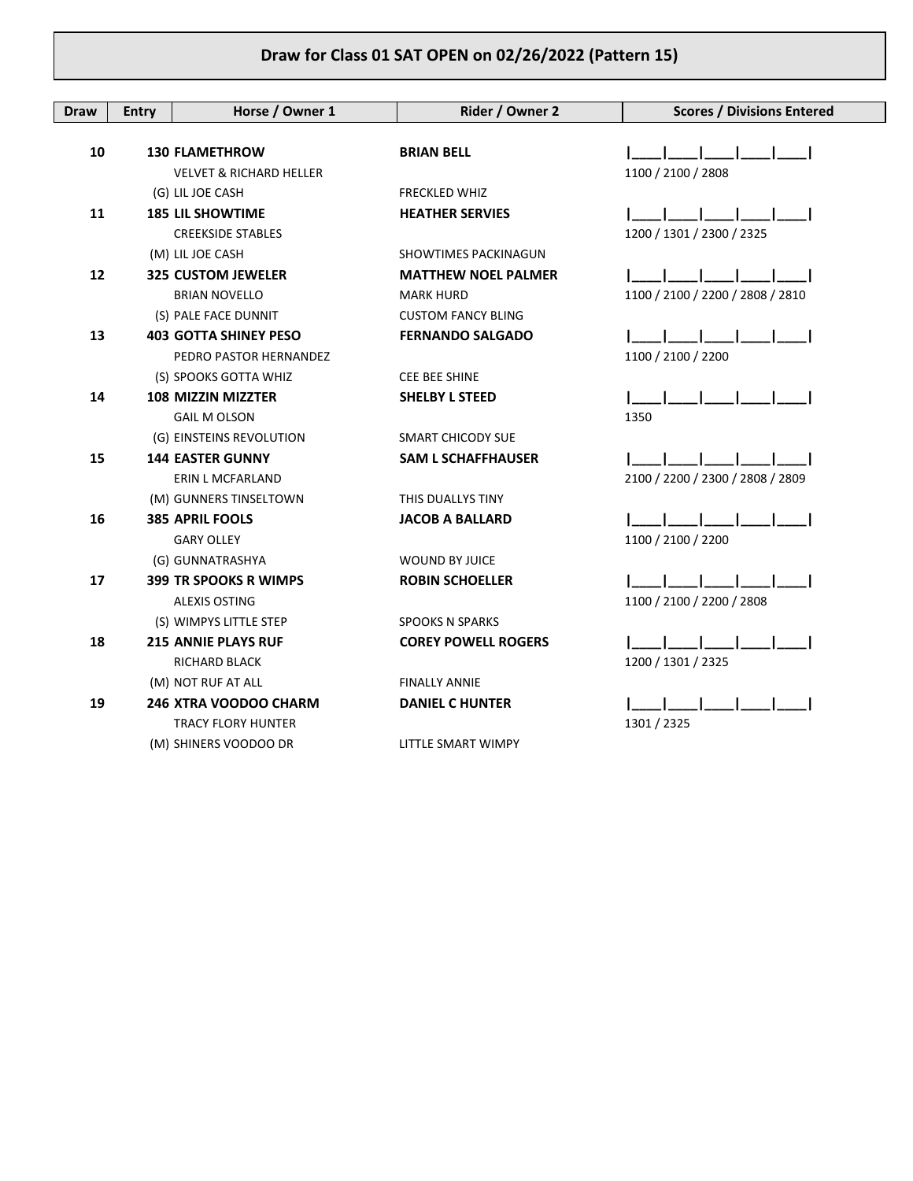| Draw | <b>Entry</b> | Horse / Owner 1                    | Rider / Owner 2             | <b>Scores / Divisions Entered</b> |
|------|--------------|------------------------------------|-----------------------------|-----------------------------------|
|      |              |                                    |                             |                                   |
| 10   |              | <b>130 FLAMETHROW</b>              | <b>BRIAN BELL</b>           |                                   |
|      |              | <b>VELVET &amp; RICHARD HELLER</b> |                             | 1100 / 2100 / 2808                |
|      |              | (G) LIL JOE CASH                   | <b>FRECKLED WHIZ</b>        |                                   |
| 11   |              | <b>185 LIL SHOWTIME</b>            | <b>HEATHER SERVIES</b>      |                                   |
|      |              | <b>CREEKSIDE STABLES</b>           |                             | 1200 / 1301 / 2300 / 2325         |
|      |              | (M) LIL JOE CASH                   | <b>SHOWTIMES PACKINAGUN</b> |                                   |
| 12   |              | <b>325 CUSTOM JEWELER</b>          | <b>MATTHEW NOEL PALMER</b>  |                                   |
|      |              | <b>BRIAN NOVELLO</b>               | <b>MARK HURD</b>            | 1100 / 2100 / 2200 / 2808 / 2810  |
|      |              | (S) PALE FACE DUNNIT               | <b>CUSTOM FANCY BLING</b>   |                                   |
| 13   |              | <b>403 GOTTA SHINEY PESO</b>       | <b>FERNANDO SALGADO</b>     |                                   |
|      |              | PEDRO PASTOR HERNANDEZ             |                             | 1100 / 2100 / 2200                |
|      |              | (S) SPOOKS GOTTA WHIZ              | <b>CEE BEE SHINE</b>        |                                   |
| 14   |              | <b>108 MIZZIN MIZZTER</b>          | <b>SHELBY L STEED</b>       |                                   |
|      |              | <b>GAIL M OLSON</b>                |                             | 1350                              |
|      |              | (G) EINSTEINS REVOLUTION           | SMART CHICODY SUE           |                                   |
| 15   |              | <b>144 EASTER GUNNY</b>            | <b>SAM L SCHAFFHAUSER</b>   |                                   |
|      |              | ERIN L MCFARLAND                   |                             | 2100 / 2200 / 2300 / 2808 / 2809  |
|      |              | (M) GUNNERS TINSELTOWN             | THIS DUALLYS TINY           |                                   |
| 16   |              | 385 APRIL FOOLS                    | <b>JACOB A BALLARD</b>      |                                   |
|      |              | <b>GARY OLLEY</b>                  |                             | 1100 / 2100 / 2200                |
|      |              | (G) GUNNATRASHYA                   | <b>WOUND BY JUICE</b>       |                                   |
| 17   |              | <b>399 TR SPOOKS R WIMPS</b>       | <b>ROBIN SCHOELLER</b>      |                                   |
|      |              | <b>ALEXIS OSTING</b>               |                             | 1100 / 2100 / 2200 / 2808         |
|      |              | (S) WIMPYS LITTLE STEP             | <b>SPOOKS N SPARKS</b>      |                                   |
| 18   |              | <b>215 ANNIE PLAYS RUF</b>         | <b>COREY POWELL ROGERS</b>  |                                   |
|      |              | <b>RICHARD BLACK</b>               |                             | 1200 / 1301 / 2325                |
|      |              | (M) NOT RUF AT ALL                 | <b>FINALLY ANNIE</b>        |                                   |
| 19   |              | 246 XTRA VOODOO CHARM              | <b>DANIEL C HUNTER</b>      |                                   |
|      |              | <b>TRACY FLORY HUNTER</b>          |                             | 1301 / 2325                       |
|      |              | (M) SHINERS VOODOO DR              | LITTLE SMART WIMPY          |                                   |
|      |              |                                    |                             |                                   |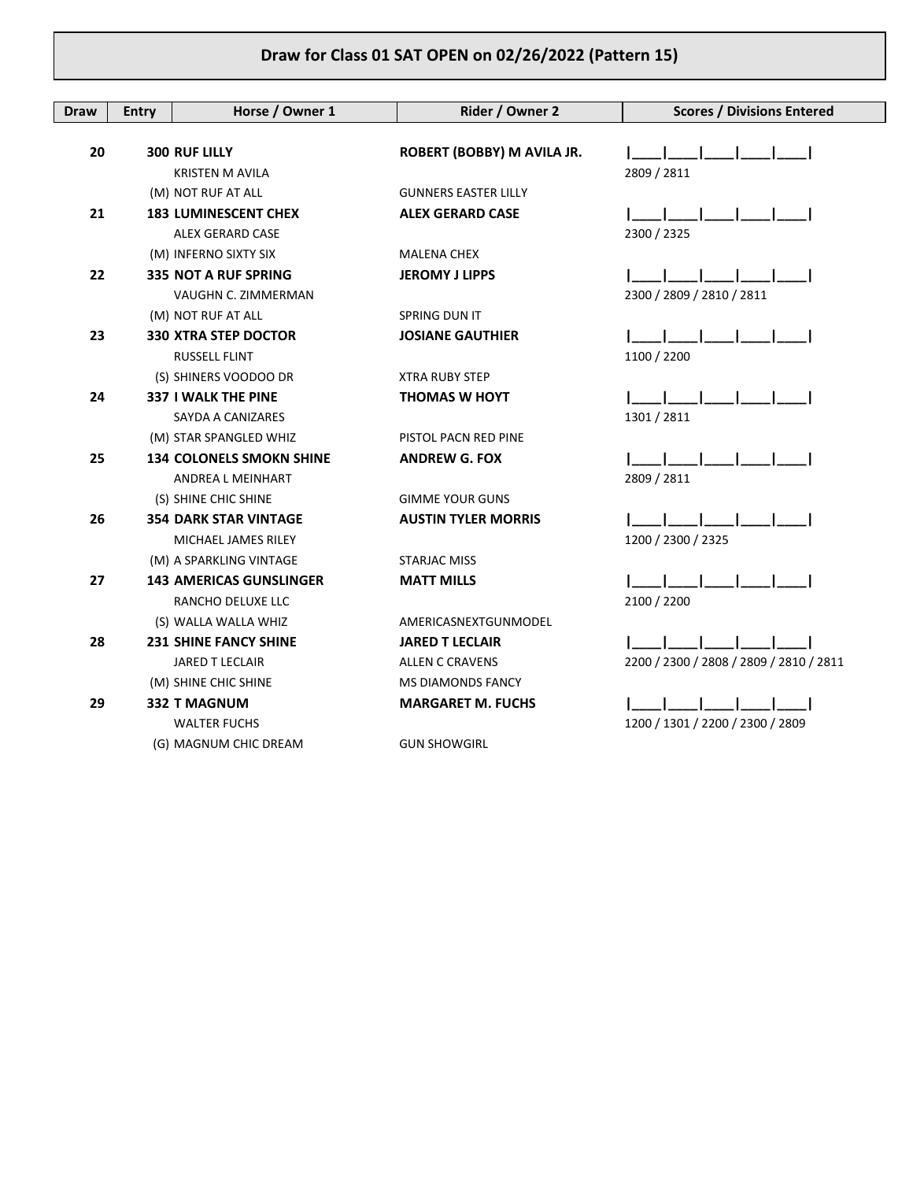| Draw | <b>Entry</b> | Horse / Owner 1                 | Rider / Owner 2             | <b>Scores / Divisions Entered</b>       |
|------|--------------|---------------------------------|-----------------------------|-----------------------------------------|
|      |              |                                 |                             |                                         |
| 20   |              | <b>300 RUF LILLY</b>            | ROBERT (BOBBY) M AVILA JR.  |                                         |
|      |              | <b>KRISTEN M AVILA</b>          |                             | 2809 / 2811                             |
|      |              | (M) NOT RUF AT ALL              | <b>GUNNERS EASTER LILLY</b> |                                         |
| 21   |              | <b>183 LUMINESCENT CHEX</b>     | <b>ALEX GERARD CASE</b>     |                                         |
|      |              | <b>ALEX GERARD CASE</b>         |                             | 2300 / 2325                             |
|      |              | (M) INFERNO SIXTY SIX           | <b>MALENA CHEX</b>          |                                         |
| 22   |              | <b>335 NOT A RUF SPRING</b>     | <b>JEROMY J LIPPS</b>       |                                         |
|      |              | VAUGHN C. ZIMMERMAN             |                             | 2300 / 2809 / 2810 / 2811               |
|      |              | (M) NOT RUF AT ALL              | SPRING DUN IT               |                                         |
| 23   |              | <b>330 XTRA STEP DOCTOR</b>     | <b>JOSIANE GAUTHIER</b>     |                                         |
|      |              | <b>RUSSELL FLINT</b>            |                             | 1100 / 2200                             |
|      |              | (S) SHINERS VOODOO DR           | <b>XTRA RUBY STEP</b>       |                                         |
| 24   |              | 337 I WALK THE PINE             | <b>THOMAS W HOYT</b>        |                                         |
|      |              | SAYDA A CANIZARES               |                             | 1301 / 2811                             |
|      |              | (M) STAR SPANGLED WHIZ          | PISTOL PACN RED PINE        |                                         |
| 25   |              | <b>134 COLONELS SMOKN SHINE</b> | <b>ANDREW G. FOX</b>        |                                         |
|      |              | ANDREA L MEINHART               |                             | 2809 / 2811                             |
|      |              | (S) SHINE CHIC SHINE            | <b>GIMME YOUR GUNS</b>      |                                         |
| 26   |              | <b>354 DARK STAR VINTAGE</b>    | <b>AUSTIN TYLER MORRIS</b>  |                                         |
|      |              | MICHAEL JAMES RILEY             |                             | 1200 / 2300 / 2325                      |
|      |              | (M) A SPARKLING VINTAGE         | <b>STARJAC MISS</b>         |                                         |
| 27   |              | <b>143 AMERICAS GUNSLINGER</b>  | <b>MATT MILLS</b>           |                                         |
|      |              | RANCHO DELUXE LLC               |                             | 2100 / 2200                             |
|      |              | (S) WALLA WALLA WHIZ            | AMERICASNEXTGUNMODEL        |                                         |
| 28   |              | <b>231 SHINE FANCY SHINE</b>    | <b>JARED T LECLAIR</b>      |                                         |
|      |              | <b>JARED T LECLAIR</b>          | <b>ALLEN C CRAVENS</b>      | 2200 / 2300 / 2808 / 2809 / 2810 / 2811 |
|      |              | (M) SHINE CHIC SHINE            | <b>MS DIAMONDS FANCY</b>    |                                         |
| 29   |              | <b>332 T MAGNUM</b>             | <b>MARGARET M. FUCHS</b>    |                                         |
|      |              | <b>WALTER FUCHS</b>             |                             | 1200 / 1301 / 2200 / 2300 / 2809        |
|      |              | (G) MAGNUM CHIC DREAM           | <b>GUN SHOWGIRL</b>         |                                         |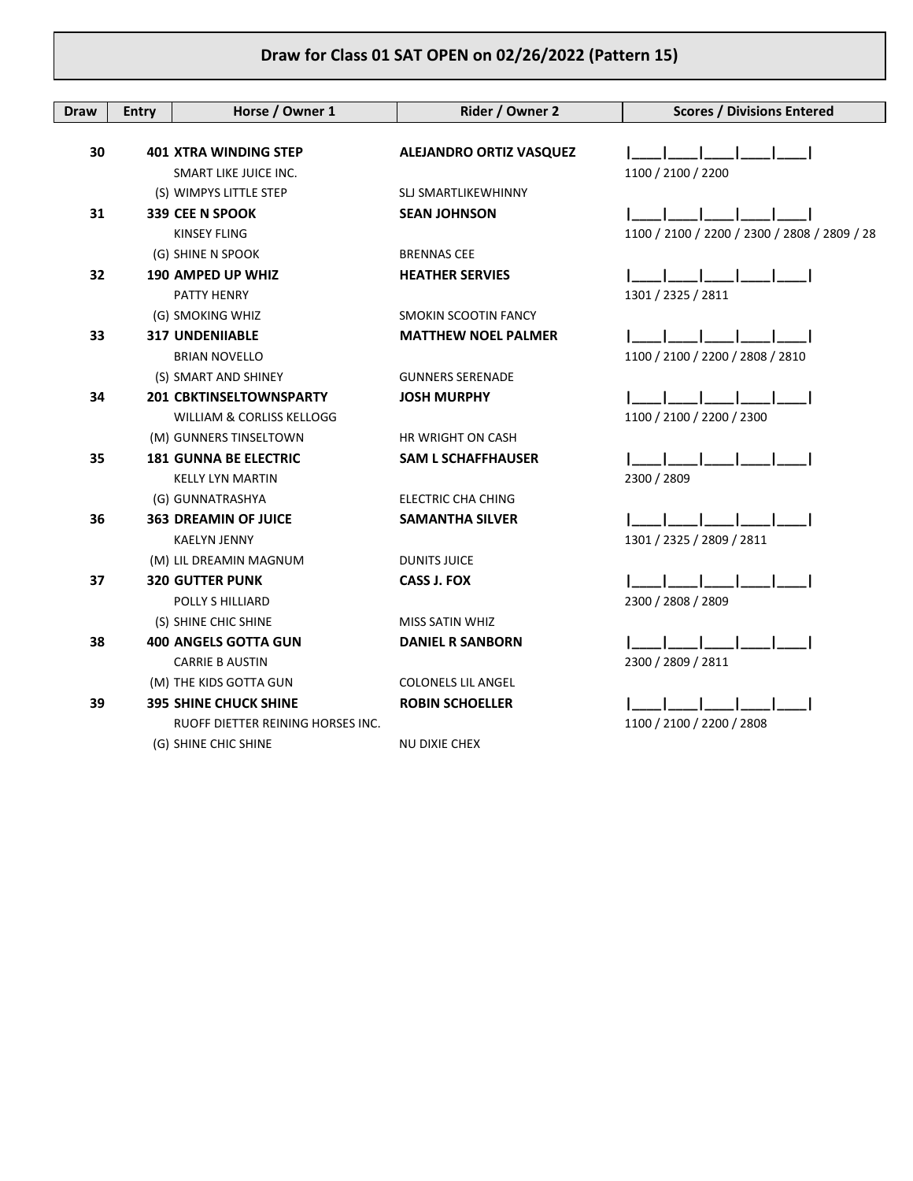| <b>Draw</b> | <b>Entry</b> | Horse / Owner 1                   | Rider / Owner 2            | <b>Scores / Divisions Entered</b>            |
|-------------|--------------|-----------------------------------|----------------------------|----------------------------------------------|
|             |              |                                   |                            |                                              |
| 30          |              | <b>401 XTRA WINDING STEP</b>      | ALEJANDRO ORTIZ VASQUEZ    |                                              |
|             |              | SMART LIKE JUICE INC.             |                            | 1100 / 2100 / 2200                           |
|             |              | (S) WIMPYS LITTLE STEP            | <b>SLJ SMARTLIKEWHINNY</b> |                                              |
| 31          |              | 339 CEE N SPOOK                   | <b>SEAN JOHNSON</b>        |                                              |
|             |              | <b>KINSEY FLING</b>               |                            | 1100 / 2100 / 2200 / 2300 / 2808 / 2809 / 28 |
|             |              | (G) SHINE N SPOOK                 | <b>BRENNAS CEE</b>         |                                              |
| 32          |              | 190 AMPED UP WHIZ                 | <b>HEATHER SERVIES</b>     |                                              |
|             |              | PATTY HENRY                       |                            | 1301 / 2325 / 2811                           |
|             |              | (G) SMOKING WHIZ                  | SMOKIN SCOOTIN FANCY       |                                              |
| 33          |              | <b>317 UNDENIIABLE</b>            | <b>MATTHEW NOEL PALMER</b> |                                              |
|             |              | <b>BRIAN NOVELLO</b>              |                            | 1100 / 2100 / 2200 / 2808 / 2810             |
|             |              | (S) SMART AND SHINEY              | <b>GUNNERS SERENADE</b>    |                                              |
| 34          |              | 201 CBKTINSELTOWNSPARTY           | <b>JOSH MURPHY</b>         |                                              |
|             |              | WILLIAM & CORLISS KELLOGG         |                            | 1100 / 2100 / 2200 / 2300                    |
|             |              | (M) GUNNERS TINSELTOWN            | HR WRIGHT ON CASH          |                                              |
| 35          |              | <b>181 GUNNA BE ELECTRIC</b>      | <b>SAM L SCHAFFHAUSER</b>  |                                              |
|             |              | <b>KELLY LYN MARTIN</b>           |                            | 2300 / 2809                                  |
|             |              | (G) GUNNATRASHYA                  | <b>ELECTRIC CHA CHING</b>  |                                              |
| 36          |              | <b>363 DREAMIN OF JUICE</b>       | <b>SAMANTHA SILVER</b>     |                                              |
|             |              | <b>KAELYN JENNY</b>               |                            | 1301 / 2325 / 2809 / 2811                    |
|             |              | (M) LIL DREAMIN MAGNUM            | <b>DUNITS JUICE</b>        |                                              |
| 37          |              | <b>320 GUTTER PUNK</b>            | <b>CASS J. FOX</b>         |                                              |
|             |              | POLLY S HILLIARD                  |                            | 2300 / 2808 / 2809                           |
|             |              | (S) SHINE CHIC SHINE              | <b>MISS SATIN WHIZ</b>     |                                              |
| 38          |              | <b>400 ANGELS GOTTA GUN</b>       | <b>DANIEL R SANBORN</b>    |                                              |
|             |              | <b>CARRIE B AUSTIN</b>            |                            | 2300 / 2809 / 2811                           |
|             |              | (M) THE KIDS GOTTA GUN            | <b>COLONELS LIL ANGEL</b>  |                                              |
| 39          |              | <b>395 SHINE CHUCK SHINE</b>      | <b>ROBIN SCHOELLER</b>     |                                              |
|             |              | RUOFF DIETTER REINING HORSES INC. |                            | 1100 / 2100 / 2200 / 2808                    |
|             |              | (G) SHINE CHIC SHINE              | NU DIXIE CHEX              |                                              |
|             |              |                                   |                            |                                              |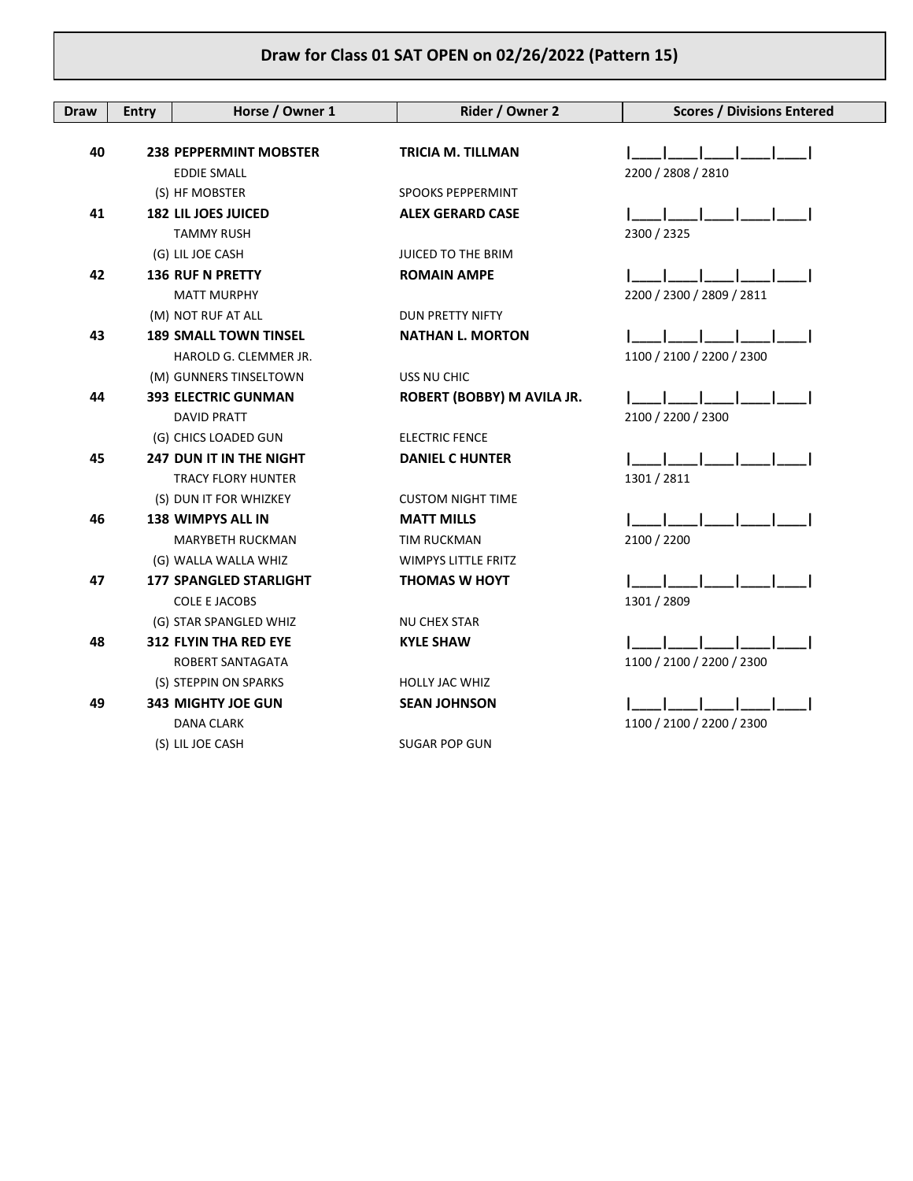| <b>Draw</b> | <b>Entry</b> | Horse / Owner 1                | Rider / Owner 2            | <b>Scores / Divisions Entered</b> |
|-------------|--------------|--------------------------------|----------------------------|-----------------------------------|
|             |              |                                |                            |                                   |
| 40          |              | <b>238 PEPPERMINT MOBSTER</b>  | <b>TRICIA M. TILLMAN</b>   |                                   |
|             |              | <b>EDDIE SMALL</b>             |                            | 2200 / 2808 / 2810                |
|             |              | (S) HF MOBSTER                 | <b>SPOOKS PEPPERMINT</b>   |                                   |
| 41          |              | <b>182 LIL JOES JUICED</b>     | <b>ALEX GERARD CASE</b>    |                                   |
|             |              | <b>TAMMY RUSH</b>              |                            | 2300 / 2325                       |
|             |              | (G) LIL JOE CASH               | <b>JUICED TO THE BRIM</b>  |                                   |
| 42          |              | <b>136 RUF N PRETTY</b>        | <b>ROMAIN AMPE</b>         |                                   |
|             |              | <b>MATT MURPHY</b>             |                            | 2200 / 2300 / 2809 / 2811         |
|             |              | (M) NOT RUF AT ALL             | <b>DUN PRETTY NIFTY</b>    |                                   |
| 43          |              | <b>189 SMALL TOWN TINSEL</b>   | <b>NATHAN L. MORTON</b>    |                                   |
|             |              | HAROLD G. CLEMMER JR.          |                            | 1100 / 2100 / 2200 / 2300         |
|             |              | (M) GUNNERS TINSELTOWN         | USS NU CHIC                |                                   |
| 44          |              | <b>393 ELECTRIC GUNMAN</b>     | ROBERT (BOBBY) M AVILA JR. |                                   |
|             |              | <b>DAVID PRATT</b>             |                            | 2100 / 2200 / 2300                |
|             |              | (G) CHICS LOADED GUN           | <b>ELECTRIC FENCE</b>      |                                   |
| 45          |              | <b>247 DUN IT IN THE NIGHT</b> | <b>DANIEL C HUNTER</b>     |                                   |
|             |              | <b>TRACY FLORY HUNTER</b>      |                            | 1301 / 2811                       |
|             |              | (S) DUN IT FOR WHIZKEY         | <b>CUSTOM NIGHT TIME</b>   |                                   |
| 46          |              | <b>138 WIMPYS ALL IN</b>       | <b>MATT MILLS</b>          |                                   |
|             |              | <b>MARYBETH RUCKMAN</b>        | TIM RUCKMAN                | 2100 / 2200                       |
|             |              | (G) WALLA WALLA WHIZ           | <b>WIMPYS LITTLE FRITZ</b> |                                   |
| 47          |              | <b>177 SPANGLED STARLIGHT</b>  | <b>THOMAS W HOYT</b>       |                                   |
|             |              | <b>COLE E JACOBS</b>           |                            | 1301 / 2809                       |
|             |              | (G) STAR SPANGLED WHIZ         | <b>NU CHEX STAR</b>        |                                   |
| 48          |              | <b>312 FLYIN THA RED EYE</b>   | <b>KYLE SHAW</b>           |                                   |
|             |              | ROBERT SANTAGATA               |                            | 1100 / 2100 / 2200 / 2300         |
|             |              | (S) STEPPIN ON SPARKS          | HOLLY JAC WHIZ             |                                   |
| 49          |              | <b>343 MIGHTY JOE GUN</b>      | <b>SEAN JOHNSON</b>        |                                   |
|             |              | DANA CLARK                     |                            | 1100 / 2100 / 2200 / 2300         |
|             |              | (S) LIL JOE CASH               | <b>SUGAR POP GUN</b>       |                                   |
|             |              |                                |                            |                                   |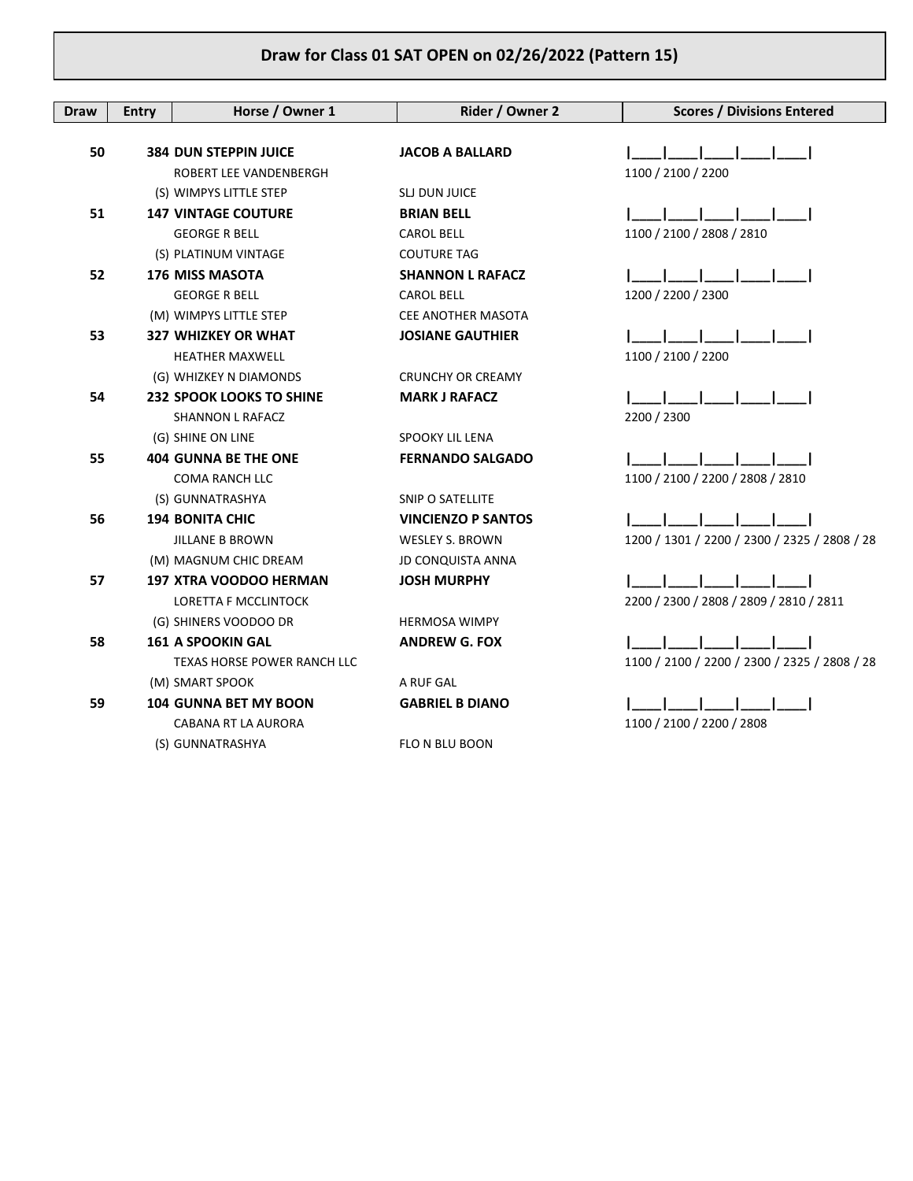| <b>Draw</b> | <b>Entry</b> | Horse / Owner 1                 | Rider / Owner 2           | <b>Scores / Divisions Entered</b>            |
|-------------|--------------|---------------------------------|---------------------------|----------------------------------------------|
|             |              |                                 |                           |                                              |
| 50          |              | <b>384 DUN STEPPIN JUICE</b>    | <b>JACOB A BALLARD</b>    |                                              |
|             |              | ROBERT LEE VANDENBERGH          |                           | 1100 / 2100 / 2200                           |
|             |              | (S) WIMPYS LITTLE STEP          | SLJ DUN JUICE             |                                              |
| 51          |              | <b>147 VINTAGE COUTURE</b>      | <b>BRIAN BELL</b>         |                                              |
|             |              | <b>GEORGE R BELL</b>            | <b>CAROL BELL</b>         | 1100 / 2100 / 2808 / 2810                    |
|             |              | (S) PLATINUM VINTAGE            | <b>COUTURE TAG</b>        |                                              |
| 52          |              | <b>176 MISS MASOTA</b>          | <b>SHANNON L RAFACZ</b>   |                                              |
|             |              | <b>GEORGE R BELL</b>            | <b>CAROL BELL</b>         | 1200 / 2200 / 2300                           |
|             |              | (M) WIMPYS LITTLE STEP          | CEE ANOTHER MASOTA        |                                              |
| 53          |              | <b>327 WHIZKEY OR WHAT</b>      | <b>JOSIANE GAUTHIER</b>   |                                              |
|             |              | <b>HEATHER MAXWELL</b>          |                           | 1100 / 2100 / 2200                           |
|             |              | (G) WHIZKEY N DIAMONDS          | <b>CRUNCHY OR CREAMY</b>  |                                              |
| 54          |              | <b>232 SPOOK LOOKS TO SHINE</b> | <b>MARK J RAFACZ</b>      |                                              |
|             |              | <b>SHANNON L RAFACZ</b>         |                           | 2200 / 2300                                  |
|             |              | (G) SHINE ON LINE               | SPOOKY LIL LENA           |                                              |
| 55          |              | <b>404 GUNNA BE THE ONE</b>     | <b>FERNANDO SALGADO</b>   |                                              |
|             |              | <b>COMA RANCH LLC</b>           |                           | 1100 / 2100 / 2200 / 2808 / 2810             |
|             |              | (S) GUNNATRASHYA                | SNIP O SATELLITE          |                                              |
| 56          |              | <b>194 BONITA CHIC</b>          | <b>VINCIENZO P SANTOS</b> |                                              |
|             |              | <b>JILLANE B BROWN</b>          | <b>WESLEY S. BROWN</b>    | 1200 / 1301 / 2200 / 2300 / 2325 / 2808 / 28 |
|             |              | (M) MAGNUM CHIC DREAM           | <b>JD CONQUISTA ANNA</b>  |                                              |
| 57          |              | <b>197 XTRA VOODOO HERMAN</b>   | <b>JOSH MURPHY</b>        |                                              |
|             |              | <b>LORETTA F MCCLINTOCK</b>     |                           | 2200 / 2300 / 2808 / 2809 / 2810 / 2811      |
|             |              | (G) SHINERS VOODOO DR           | <b>HERMOSA WIMPY</b>      |                                              |
| 58          |              | <b>161 A SPOOKIN GAL</b>        | <b>ANDREW G. FOX</b>      |                                              |
|             |              | TEXAS HORSE POWER RANCH LLC     |                           | 1100 / 2100 / 2200 / 2300 / 2325 / 2808 / 28 |
|             |              | (M) SMART SPOOK                 | A RUF GAL                 |                                              |
| 59          |              | <b>104 GUNNA BET MY BOON</b>    | <b>GABRIEL B DIANO</b>    |                                              |
|             |              | CABANA RT LA AURORA             |                           | 1100 / 2100 / 2200 / 2808                    |
|             |              | (S) GUNNATRASHYA                | FLO N BLU BOON            |                                              |
|             |              |                                 |                           |                                              |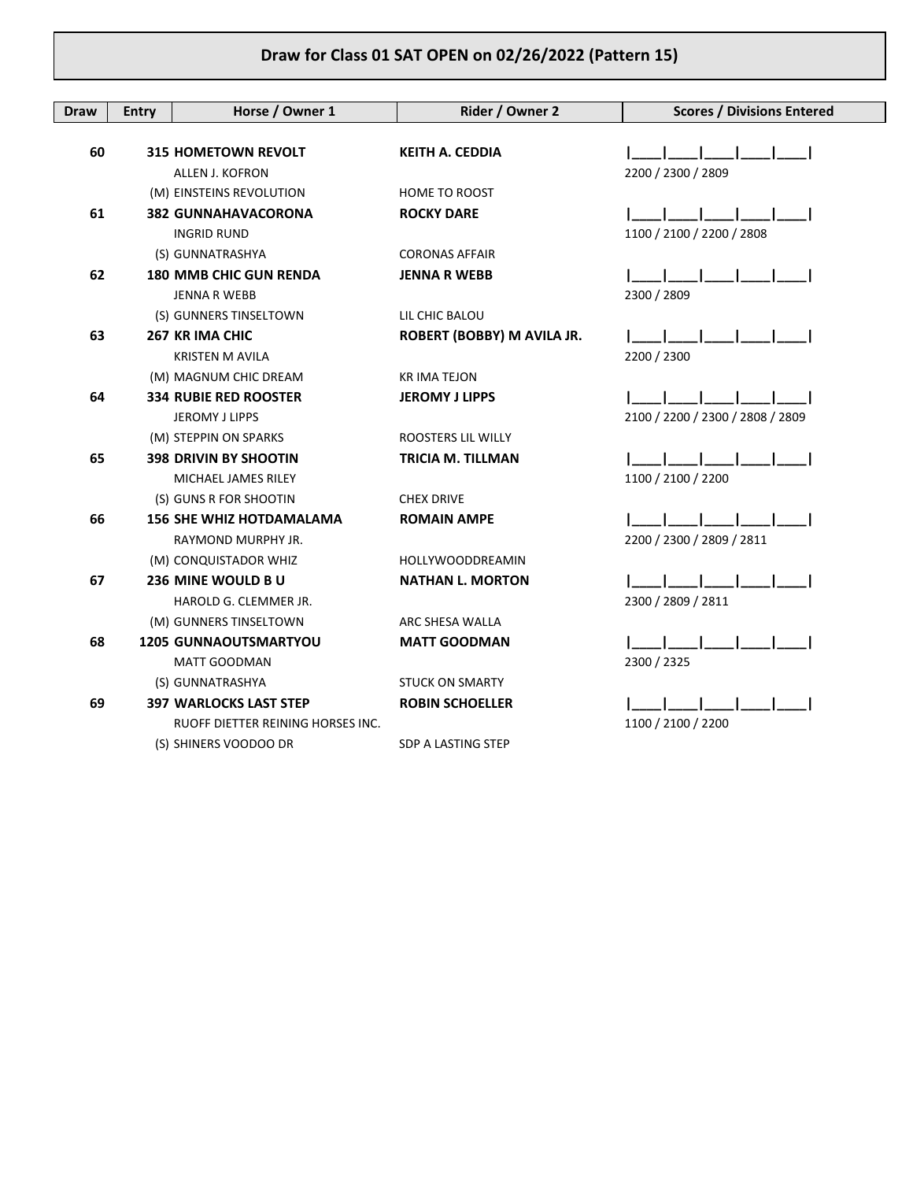| Draw | <b>Entry</b> | Horse / Owner 1                   | Rider / Owner 2            | <b>Scores / Divisions Entered</b> |
|------|--------------|-----------------------------------|----------------------------|-----------------------------------|
|      |              |                                   |                            |                                   |
| 60   |              | <b>315 HOMETOWN REVOLT</b>        | <b>KEITH A. CEDDIA</b>     |                                   |
|      |              | <b>ALLEN J. KOFRON</b>            |                            | 2200 / 2300 / 2809                |
|      |              | (M) EINSTEINS REVOLUTION          | <b>HOME TO ROOST</b>       |                                   |
| 61   |              | <b>382 GUNNAHAVACORONA</b>        | <b>ROCKY DARE</b>          |                                   |
|      |              | <b>INGRID RUND</b>                |                            | 1100 / 2100 / 2200 / 2808         |
|      |              | (S) GUNNATRASHYA                  | <b>CORONAS AFFAIR</b>      |                                   |
| 62   |              | <b>180 MMB CHIC GUN RENDA</b>     | <b>JENNA R WEBB</b>        |                                   |
|      |              | <b>JENNA R WEBB</b>               |                            | 2300 / 2809                       |
|      |              | (S) GUNNERS TINSELTOWN            | LIL CHIC BALOU             |                                   |
| 63   |              | 267 KR IMA CHIC                   | ROBERT (BOBBY) M AVILA JR. |                                   |
|      |              | <b>KRISTEN M AVILA</b>            |                            | 2200 / 2300                       |
|      |              | (M) MAGNUM CHIC DREAM             | <b>KR IMA TEJON</b>        |                                   |
| 64   |              | <b>334 RUBIE RED ROOSTER</b>      | <b>JEROMY J LIPPS</b>      |                                   |
|      |              | JEROMY J LIPPS                    |                            | 2100 / 2200 / 2300 / 2808 / 2809  |
|      |              | (M) STEPPIN ON SPARKS             | ROOSTERS LIL WILLY         |                                   |
| 65   |              | <b>398 DRIVIN BY SHOOTIN</b>      | <b>TRICIA M. TILLMAN</b>   |                                   |
|      |              | MICHAEL JAMES RILEY               |                            | 1100 / 2100 / 2200                |
|      |              | (S) GUNS R FOR SHOOTIN            | <b>CHEX DRIVE</b>          |                                   |
| 66   |              | <b>156 SHE WHIZ HOTDAMALAMA</b>   | <b>ROMAIN AMPE</b>         |                                   |
|      |              | RAYMOND MURPHY JR.                |                            | 2200 / 2300 / 2809 / 2811         |
|      |              | (M) CONQUISTADOR WHIZ             | <b>HOLLYWOODDREAMIN</b>    |                                   |
| 67   |              | 236 MINE WOULD BU                 | <b>NATHAN L. MORTON</b>    |                                   |
|      |              | HAROLD G. CLEMMER JR.             |                            | 2300 / 2809 / 2811                |
|      |              | (M) GUNNERS TINSELTOWN            | ARC SHESA WALLA            |                                   |
| 68   |              | <b>1205 GUNNAOUTSMARTYOU</b>      | <b>MATT GOODMAN</b>        |                                   |
|      |              | <b>MATT GOODMAN</b>               |                            | 2300 / 2325                       |
|      |              | (S) GUNNATRASHYA                  | <b>STUCK ON SMARTY</b>     |                                   |
| 69   |              | <b>397 WARLOCKS LAST STEP</b>     | <b>ROBIN SCHOELLER</b>     |                                   |
|      |              | RUOFF DIETTER REINING HORSES INC. |                            | 1100 / 2100 / 2200                |
|      |              | (S) SHINERS VOODOO DR             | SDP A LASTING STEP         |                                   |
|      |              |                                   |                            |                                   |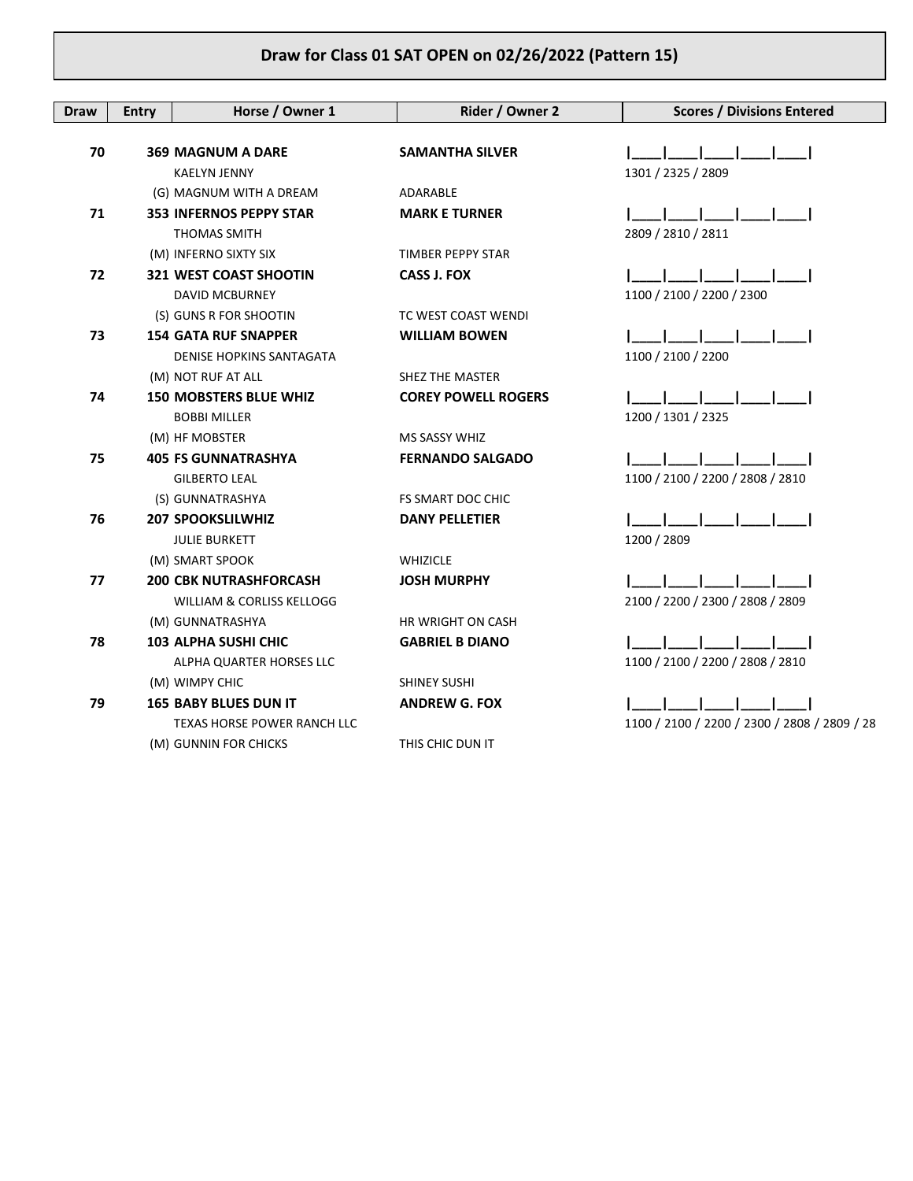| <b>Draw</b> | <b>Entry</b> | Horse / Owner 1                                                       | Rider / Owner 2            | <b>Scores / Divisions Entered</b>            |
|-------------|--------------|-----------------------------------------------------------------------|----------------------------|----------------------------------------------|
| 70          |              | <b>369 MAGNUM A DARE</b><br><b>KAELYN JENNY</b>                       | <b>SAMANTHA SILVER</b>     | 1301 / 2325 / 2809                           |
|             |              | (G) MAGNUM WITH A DREAM                                               | ADARABLE                   |                                              |
| 71          |              | <b>353 INFERNOS PEPPY STAR</b><br><b>THOMAS SMITH</b>                 | <b>MARK E TURNER</b>       | 2809 / 2810 / 2811                           |
|             |              | (M) INFERNO SIXTY SIX                                                 | TIMBER PEPPY STAR          |                                              |
| 72          |              | 321 WEST COAST SHOOTIN<br>DAVID MCBURNEY                              | <b>CASS J. FOX</b>         | 1100 / 2100 / 2200 / 2300                    |
|             |              | (S) GUNS R FOR SHOOTIN                                                | TC WEST COAST WENDI        |                                              |
| 73          |              | <b>154 GATA RUF SNAPPER</b><br>DENISE HOPKINS SANTAGATA               | <b>WILLIAM BOWEN</b>       | 1100 / 2100 / 2200                           |
|             |              | (M) NOT RUF AT ALL                                                    | SHEZ THE MASTER            |                                              |
| 74          |              | <b>150 MOBSTERS BLUE WHIZ</b><br><b>BOBBI MILLER</b>                  | <b>COREY POWELL ROGERS</b> | 1200 / 1301 / 2325                           |
|             |              | (M) HF MOBSTER                                                        | <b>MS SASSY WHIZ</b>       |                                              |
| 75          |              | <b>405 FS GUNNATRASHYA</b>                                            | <b>FERNANDO SALGADO</b>    |                                              |
|             |              | <b>GILBERTO LEAL</b>                                                  |                            | 1100 / 2100 / 2200 / 2808 / 2810             |
|             |              | (S) GUNNATRASHYA                                                      | FS SMART DOC CHIC          |                                              |
| 76          |              | <b>207 SPOOKSLILWHIZ</b><br><b>JULIE BURKETT</b>                      | <b>DANY PELLETIER</b>      | 1200 / 2809                                  |
|             |              | (M) SMART SPOOK                                                       | <b>WHIZICLE</b>            |                                              |
| 77          |              | <b>200 CBK NUTRASHFORCASH</b><br><b>WILLIAM &amp; CORLISS KELLOGG</b> | <b>JOSH MURPHY</b>         | 2100 / 2200 / 2300 / 2808 / 2809             |
|             |              | (M) GUNNATRASHYA                                                      | <b>HR WRIGHT ON CASH</b>   |                                              |
| 78          |              | <b>103 ALPHA SUSHI CHIC</b><br>ALPHA QUARTER HORSES LLC               | <b>GABRIEL B DIANO</b>     | 1100 / 2100 / 2200 / 2808 / 2810             |
|             |              | (M) WIMPY CHIC                                                        | <b>SHINEY SUSHI</b>        |                                              |
| 79          |              | <b>165 BABY BLUES DUN IT</b>                                          | <b>ANDREW G. FOX</b>       |                                              |
|             |              | <b>TEXAS HORSE POWER RANCH LLC</b>                                    |                            | 1100 / 2100 / 2200 / 2300 / 2808 / 2809 / 28 |
|             |              | (M) GUNNIN FOR CHICKS                                                 | THIS CHIC DUN IT           |                                              |